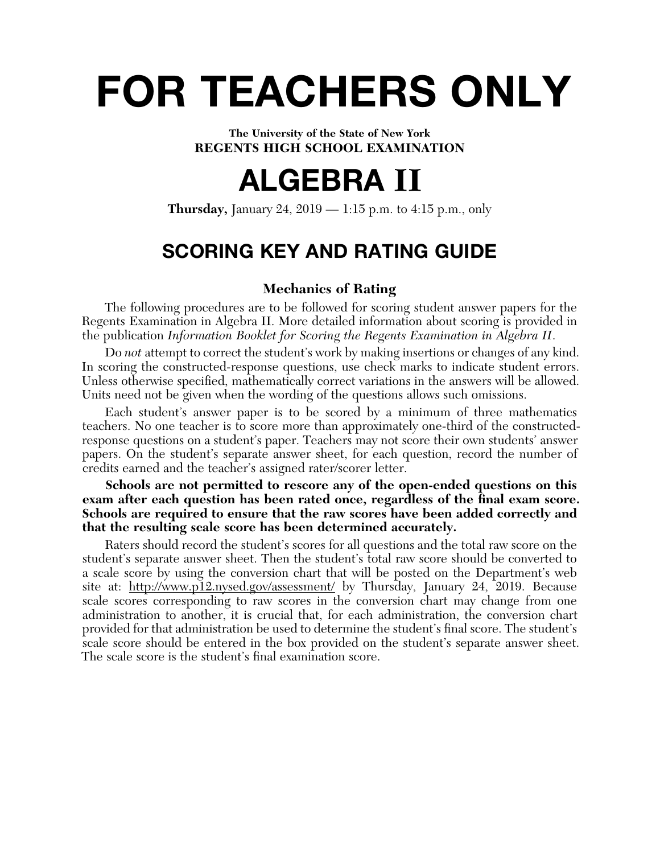# **FOR TEACHERS ONLY**

**The University of the State of New York REGENTS HIGH SCHOOL EXAMINATION**

# **ALGEBRA II**

**Thursday,** January 24, 2019 — 1:15 p.m. to 4:15 p.m., only

# **SCORING KEY AND RATING GUIDE**

# **Mechanics of Rating**

The following procedures are to be followed for scoring student answer papers for the Regents Examination in Algebra II. More detailed information about scoring is provided in the publication *Information Booklet for Scoring the Regents Examination in Algebra II*.

Do *not* attempt to correct the student's work by making insertions or changes of any kind. In scoring the constructed-response questions, use check marks to indicate student errors. Unless otherwise specified, mathematically correct variations in the answers will be allowed. Units need not be given when the wording of the questions allows such omissions.

Each student's answer paper is to be scored by a minimum of three mathematics teachers. No one teacher is to score more than approximately one-third of the constructedresponse questions on a student's paper. Teachers may not score their own students' answer papers. On the student's separate answer sheet, for each question, record the number of credits earned and the teacher's assigned rater/scorer letter.

**Schools are not permitted to rescore any of the open-ended questions on this**  exam after each question has been rated once, regardless of the final exam score. **Schools are required to ensure that the raw scores have been added correctly and that the resulting scale score has been determined accurately.**

Raters should record the student's scores for all questions and the total raw score on the student's separate answer sheet. Then the student's total raw score should be converted to a scale score by using the conversion chart that will be posted on the Department's web site at: http://www.p12.nysed.gov/assessment/ by Thursday, January 24, 2019. Because scale scores corresponding to raw scores in the conversion chart may change from one administration to another, it is crucial that, for each administration, the conversion chart provided for that administration be used to determine the student's final score. The student's scale score should be entered in the box provided on the student's separate answer sheet. The scale score is the student's final examination score.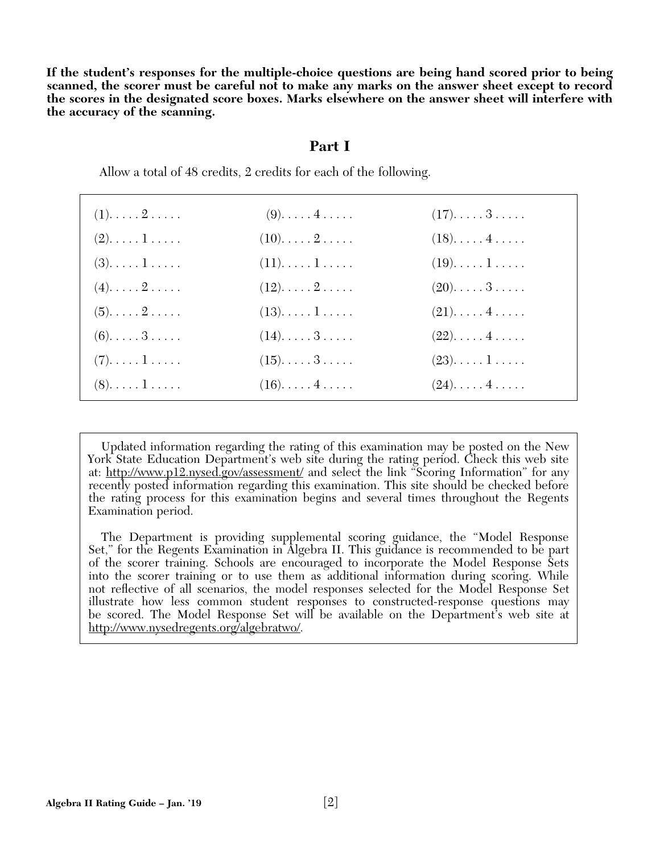**If the student's responses for the multiple-choice questions are being hand scored prior to being scanned, the scorer must be careful not to make any marks on the answer sheet except to record the scores in the designated score boxes. Marks elsewhere on the answer sheet will interfere with the accuracy of the scanning.**

#### **Part I**

Allow a total of 48 credits, 2 credits for each of the following.

| $(1). \ldots .2 \ldots$             | $(9)$ . $\dots$ 4.             | $(17)$ . $\ldots$ . $3$ . $\ldots$ . |  |
|-------------------------------------|--------------------------------|--------------------------------------|--|
| $(2). \ldots . 1$                   | $(10)$ $2$                     | $(18)$ $4$                           |  |
| $(3)$ $1$                           | $(11)$ $1$                     | $(19)$ $1$                           |  |
| $(4)$ . $\ldots$ . $2$ . $\ldots$ . | $(12)$ $2$                     | $(20)$ 3                             |  |
| $(5)$ . $\ldots$ . $2$ . $\ldots$ . | $(13)$ $1$                     | $(21)$ $4$                           |  |
| $(6)$ . 3                           | $(14)$ $3$                     | $(22)$ $4$                           |  |
| $(7)$ $1$                           | $(15)$ . $\dots$ . $3 \dots$ . | $(23)$ $1$                           |  |
| $(8)$ $1$                           | $(16)$ $4$                     | $(24)$ $4$                           |  |
|                                     |                                |                                      |  |

 Updated information regarding the rating of this examination may be posted on the New York State Education Department's web site during the rating period. Check this web site at: http://www.p12.nysed.gov/assessment/ and select the link "Scoring Information" for any recently posted information regarding this examination. This site should be checked before the rating process for this examination begins and several times throughout the Regents Examination period.

 The Department is providing supplemental scoring guidance, the "Model Response Set," for the Regents Examination in Algebra II. This guidance is recommended to be part of the scorer training. Schools are encouraged to incorporate the Model Response Sets into the scorer training or to use them as additional information during scoring. While not refl ective of all scenarios, the model responses selected for the Model Response Set illustrate how less common student responses to constructed-response questions may be scored. The Model Response Set will be available on the Department's web site at http://www.nysedregents.org/algebratwo/.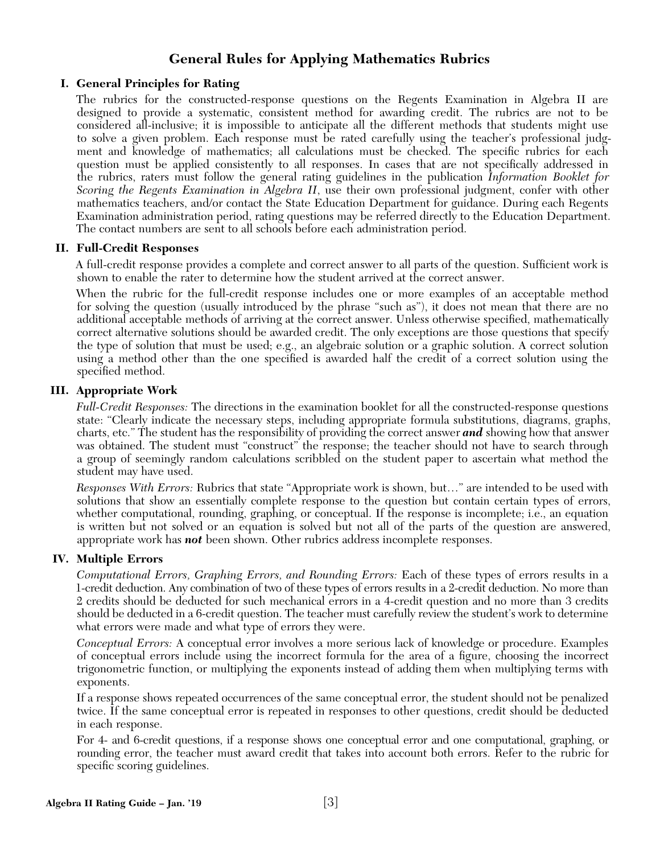# **General Rules for Applying Mathematics Rubrics**

# **I. General Principles for Rating**

The rubrics for the constructed-response questions on the Regents Examination in Algebra II are designed to provide a systematic, consistent method for awarding credit. The rubrics are not to be considered all-inclusive; it is impossible to anticipate all the different methods that students might use to solve a given problem. Each response must be rated carefully using the teacher's professional judgment and knowledge of mathematics; all calculations must be checked. The specific rubrics for each question must be applied consistently to all responses. In cases that are not specifically addressed in the rubrics, raters must follow the general rating guidelines in the publication *Information Booklet for Scoring the Regents Examination in Algebra II*, use their own professional judgment, confer with other mathematics teachers, and/or contact the State Education Department for guidance. During each Regents Examination administration period, rating questions may be referred directly to the Education Department. The contact numbers are sent to all schools before each administration period.

# **II. Full-Credit Responses**

A full-credit response provides a complete and correct answer to all parts of the question. Sufficient work is shown to enable the rater to determine how the student arrived at the correct answer.

When the rubric for the full-credit response includes one or more examples of an acceptable method for solving the question (usually introduced by the phrase "such as"), it does not mean that there are no additional acceptable methods of arriving at the correct answer. Unless otherwise specified, mathematically correct alternative solutions should be awarded credit. The only exceptions are those questions that specify the type of solution that must be used; e.g., an algebraic solution or a graphic solution. A correct solution using a method other than the one specified is awarded half the credit of a correct solution using the specified method.

# **III. Appropriate Work**

*Full-Credit Responses:* The directions in the examination booklet for all the constructed-response questions state: "Clearly indicate the necessary steps, including appropriate formula substitutions, diagrams, graphs, charts, etc." The student has the responsibility of providing the correct answer *and* showing how that answer was obtained. The student must "construct" the response; the teacher should not have to search through a group of seemingly random calculations scribbled on the student paper to ascertain what method the student may have used.

*Responses With Errors:* Rubrics that state "Appropriate work is shown, but…" are intended to be used with solutions that show an essentially complete response to the question but contain certain types of errors, whether computational, rounding, graphing, or conceptual. If the response is incomplete; i.e., an equation is written but not solved or an equation is solved but not all of the parts of the question are answered, appropriate work has *not* been shown. Other rubrics address incomplete responses.

# **IV. Multiple Errors**

*Computational Errors, Graphing Errors, and Rounding Errors:* Each of these types of errors results in a 1-credit deduction. Any combination of two of these types of errors results in a 2-credit deduction. No more than 2 credits should be deducted for such mechanical errors in a 4-credit question and no more than 3 credits should be deducted in a 6-credit question. The teacher must carefully review the student's work to determine what errors were made and what type of errors they were.

*Conceptual Errors:* A conceptual error involves a more serious lack of knowledge or procedure. Examples of conceptual errors include using the incorrect formula for the area of a figure, choosing the incorrect trigonometric function, or multiplying the exponents instead of adding them when multiplying terms with exponents.

If a response shows repeated occurrences of the same conceptual error, the student should not be penalized twice. If the same conceptual error is repeated in responses to other questions, credit should be deducted in each response.

For 4- and 6-credit questions, if a response shows one conceptual error and one computational, graphing, or rounding error, the teacher must award credit that takes into account both errors. Refer to the rubric for specific scoring guidelines.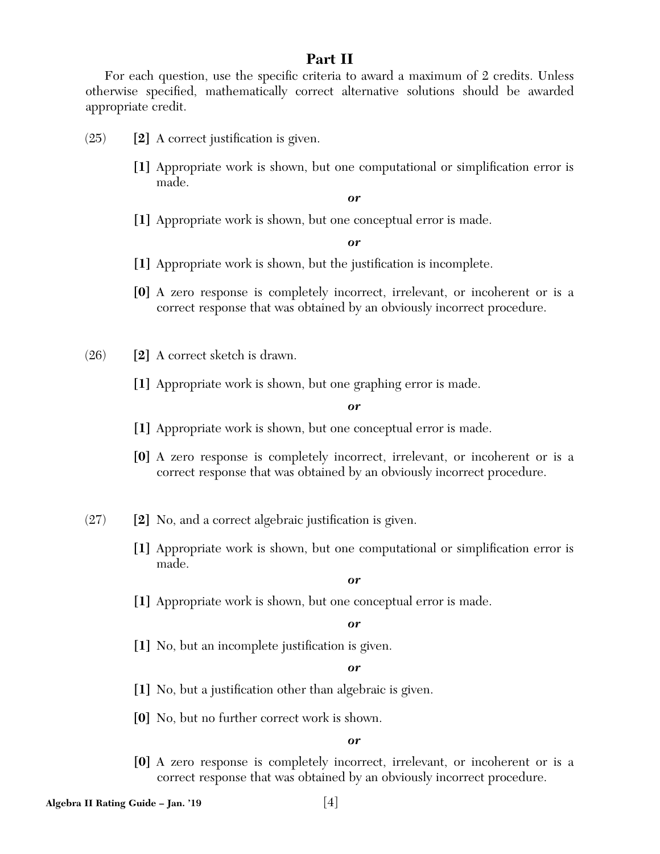# **Part II**

For each question, use the specific criteria to award a maximum of 2 credits. Unless otherwise specified, mathematically correct alternative solutions should be awarded appropriate credit.

- $(25)$  **[2]** A correct justification is given.
	- [1] Appropriate work is shown, but one computational or simplification error is made.

*or*

**[1]** Appropriate work is shown, but one conceptual error is made.

*or*

- [1] Appropriate work is shown, but the justification is incomplete.
- **[0]** A zero response is completely incorrect, irrelevant, or incoherent or is a correct response that was obtained by an obviously incorrect procedure.
- (26) **[2]** A correct sketch is drawn.
	- **[1]** Appropriate work is shown, but one graphing error is made.

*or*

- **[1]** Appropriate work is shown, but one conceptual error is made.
- **[0]** A zero response is completely incorrect, irrelevant, or incoherent or is a correct response that was obtained by an obviously incorrect procedure.
- $(27)$  **[2]** No, and a correct algebraic justification is given.
	- [1] Appropriate work is shown, but one computational or simplification error is made.

*or*

**[1]** Appropriate work is shown, but one conceptual error is made.

*or*

[1] No, but an incomplete justification is given.

*or*

- [1] No, but a justification other than algebraic is given.
- **[0]** No, but no further correct work is shown.

*or*

**[0]** A zero response is completely incorrect, irrelevant, or incoherent or is a correct response that was obtained by an obviously incorrect procedure.

**Algebra II Rating Guide – Jan. '19** [4]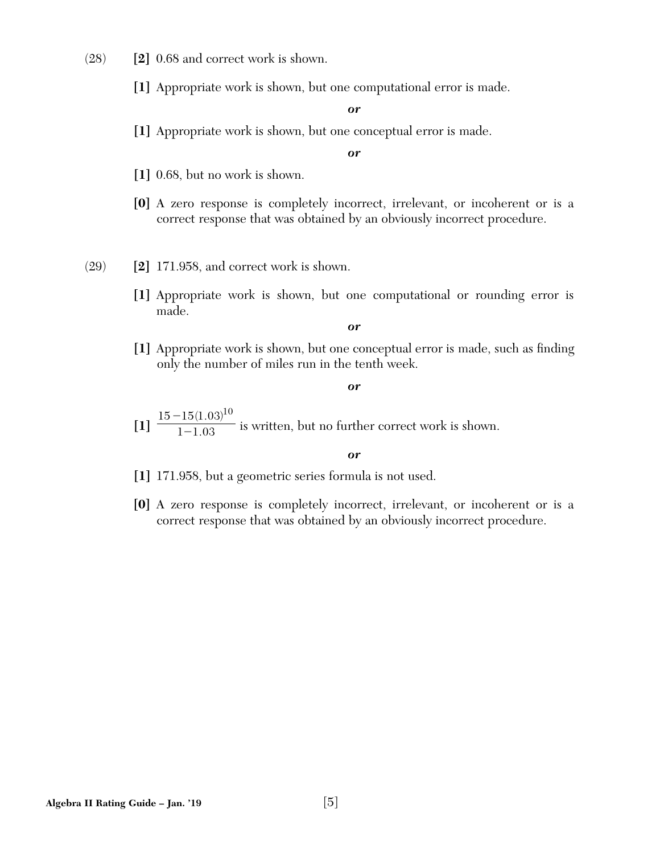- (28) **[2]** 0.68 and correct work is shown.
	- **[1]** Appropriate work is shown, but one computational error is made.

**[1]** Appropriate work is shown, but one conceptual error is made.

*or*

- **[1]** 0.68, but no work is shown.
- **[0]** A zero response is completely incorrect, irrelevant, or incoherent or is a correct response that was obtained by an obviously incorrect procedure.
- (29) **[2]** 171.958, and correct work is shown.
	- **[1]** Appropriate work is shown, but one computational or rounding error is made.

*or*

[1] Appropriate work is shown, but one conceptual error is made, such as finding only the number of miles run in the tenth week.

*or*

**[1]**  $15 - 15(1.03)$  $1 - 1.03$  $\frac{-15(1.03)^{10}}{1-1.03}$  $(1.03)$  $\overline{0.03}$  is written, but no further correct work is shown.

- **[1]** 171.958, but a geometric series formula is not used.
- **[0]** A zero response is completely incorrect, irrelevant, or incoherent or is a correct response that was obtained by an obviously incorrect procedure.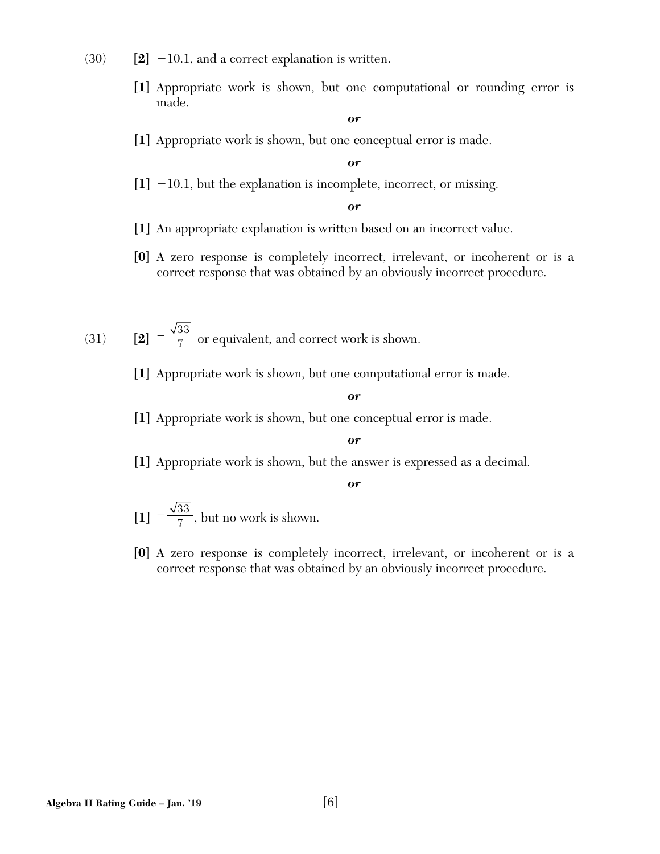- $(30)$  **[2]**  $-10.1$ , and a correct explanation is written.
	- **[1]** Appropriate work is shown, but one computational or rounding error is made.

**[1]** Appropriate work is shown, but one conceptual error is made.

*or*

**[1]** -10.1, but the explanation is incomplete, incorrect, or missing.

*or*

- **[1]** An appropriate explanation is written based on an incorrect value.
- **[0]** A zero response is completely incorrect, irrelevant, or incoherent or is a correct response that was obtained by an obviously incorrect procedure.
- (31) **[2]**  $-\frac{\sqrt{33}}{7}$  or equivalent, and correct work is shown.
	- **[1]** Appropriate work is shown, but one computational error is made.

#### *or*

**[1]** Appropriate work is shown, but one conceptual error is made.

#### *or*

**[1]** Appropriate work is shown, but the answer is expressed as a decimal.

- $\begin{bmatrix} 1 \end{bmatrix}$   $\begin{bmatrix} -\frac{\sqrt{33}}{7}, \text{but no work is shown.} \end{bmatrix}$
- **[0]** A zero response is completely incorrect, irrelevant, or incoherent or is a correct response that was obtained by an obviously incorrect procedure.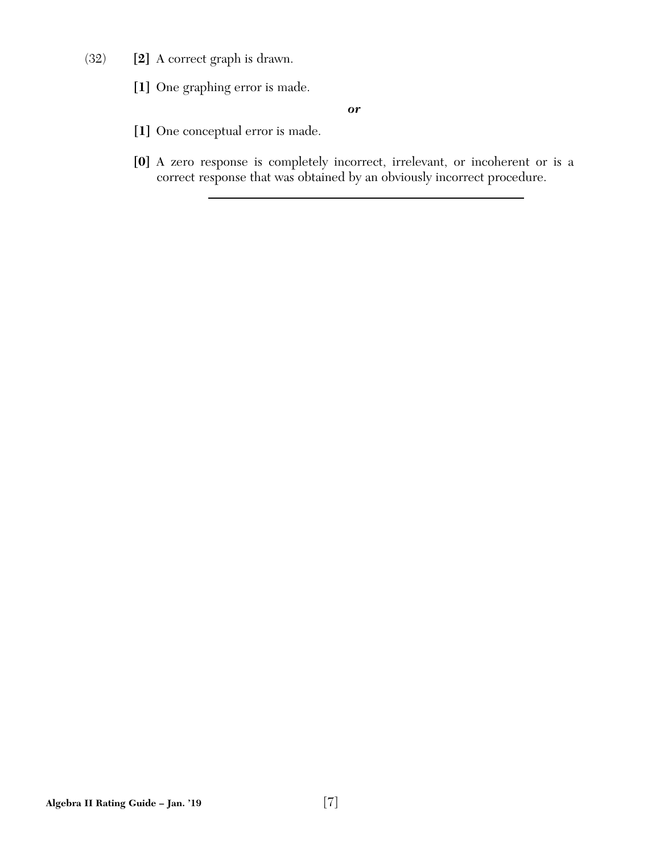# (32) **[2]** A correct graph is drawn.

**[1]** One graphing error is made.

- **[1]** One conceptual error is made.
- **[0]** A zero response is completely incorrect, irrelevant, or incoherent or is a correct response that was obtained by an obviously incorrect procedure.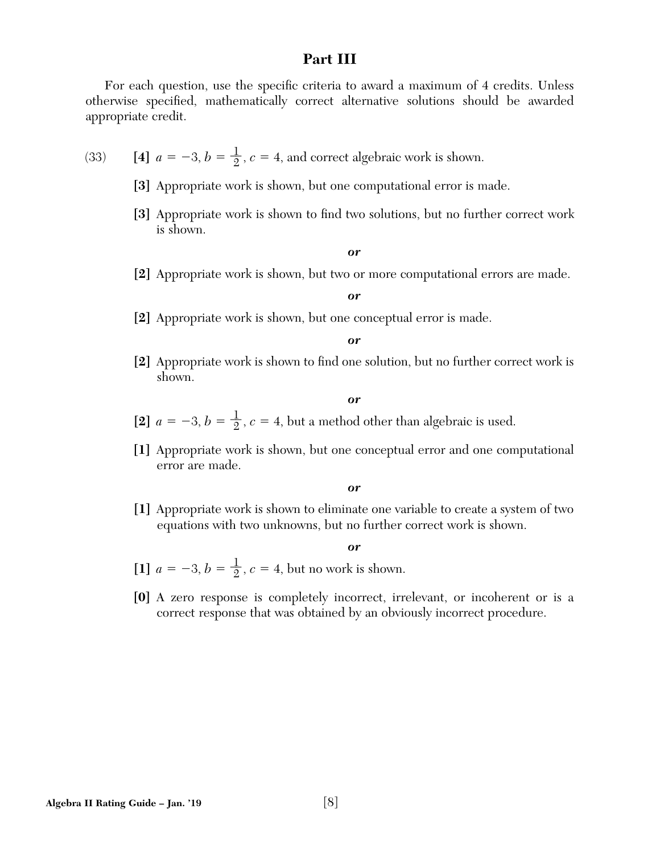# **Part III**

For each question, use the specific criteria to award a maximum of 4 credits. Unless otherwise specified, mathematically correct alternative solutions should be awarded appropriate credit.

- (33) **[4]**  $a = -3, b = \frac{1}{2}, c = 4$ , and correct algebraic work is shown.
	- **[3]** Appropriate work is shown, but one computational error is made.
	- [3] Appropriate work is shown to find two solutions, but no further correct work is shown.

#### *or*

**[2]** Appropriate work is shown, but two or more computational errors are made.

#### *or*

**[2]** Appropriate work is shown, but one conceptual error is made.

#### *or*

[2] Appropriate work is shown to find one solution, but no further correct work is shown.

#### *or*

- [2]  $a = -3, b = \frac{1}{2}, c = 4$ , but a method other than algebraic is used.
- **[1]** Appropriate work is shown, but one conceptual error and one computational error are made.

#### *or*

**[1]** Appropriate work is shown to eliminate one variable to create a system of two equations with two unknowns, but no further correct work is shown.

- [1]  $a = -3, b = \frac{1}{2}, c = 4$ , but no work is shown.
- **[0]** A zero response is completely incorrect, irrelevant, or incoherent or is a correct response that was obtained by an obviously incorrect procedure.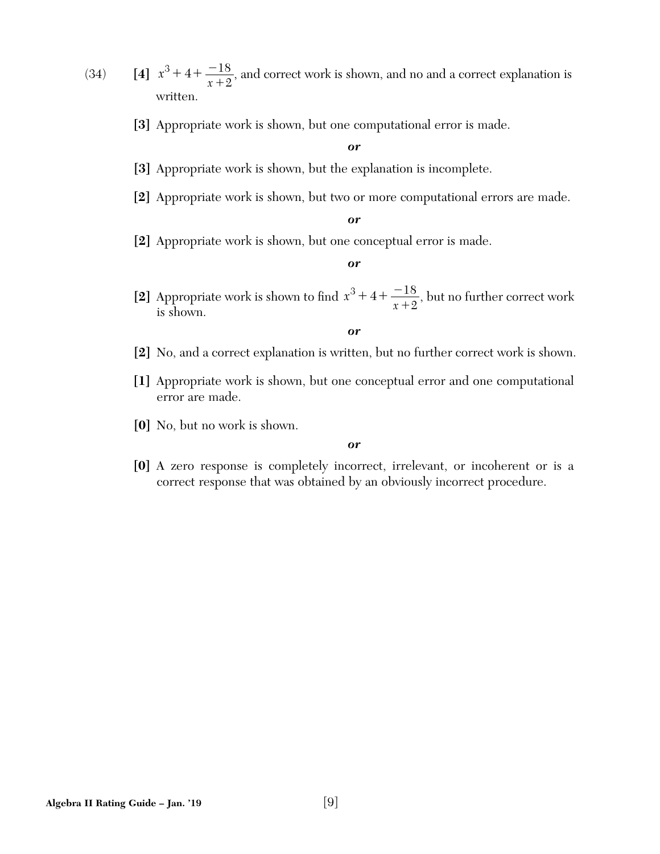(34) **[4]** *x x*  $3 + 4 + \frac{-18}{18}$ 2  $+4+\frac{-18}{x+2}$ , and correct work is shown, and no and a correct explanation is written.

**[3]** Appropriate work is shown, but one computational error is made.

#### *or*

- **[3]** Appropriate work is shown, but the explanation is incomplete.
- **[2]** Appropriate work is shown, but two or more computational errors are made.

#### *or*

**[2]** Appropriate work is shown, but one conceptual error is made.

#### *or*

[2] Appropriate work is shown to find *x x*  $3 + 4 + \frac{-18}{18}$ 2  $+4+\frac{-18}{x+2}$ , but no further correct work is shown.

#### *or*

- **[2]** No, and a correct explanation is written, but no further correct work is shown.
- **[1]** Appropriate work is shown, but one conceptual error and one computational error are made.
- **[0]** No, but no work is shown.

#### *or*

**[0]** A zero response is completely incorrect, irrelevant, or incoherent or is a correct response that was obtained by an obviously incorrect procedure.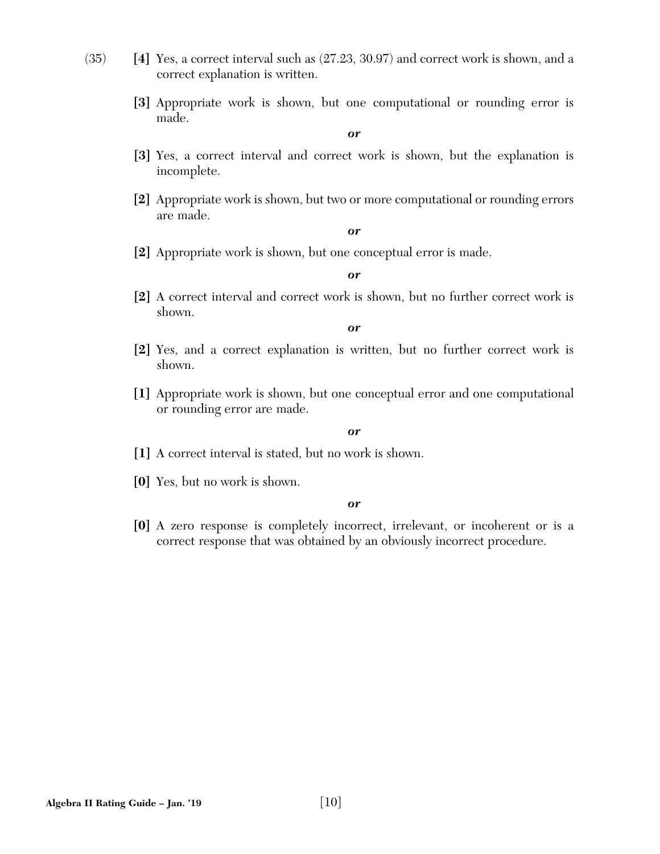- (35) **[4]** Yes, a correct interval such as (27.23, 30.97) and correct work is shown, and a correct explanation is written.
	- **[3]** Appropriate work is shown, but one computational or rounding error is made.

- **[3]** Yes, a correct interval and correct work is shown, but the explanation is incomplete.
- **[2]** Appropriate work is shown, but two or more computational or rounding errors are made.

*or*

**[2]** Appropriate work is shown, but one conceptual error is made.

*or*

**[2]** A correct interval and correct work is shown, but no further correct work is shown.

*or*

- **[2]** Yes, and a correct explanation is written, but no further correct work is shown.
- **[1]** Appropriate work is shown, but one conceptual error and one computational or rounding error are made.

*or*

- **[1]** A correct interval is stated, but no work is shown.
- **[0]** Yes, but no work is shown.

*or*

**[0]** A zero response is completely incorrect, irrelevant, or incoherent or is a correct response that was obtained by an obviously incorrect procedure.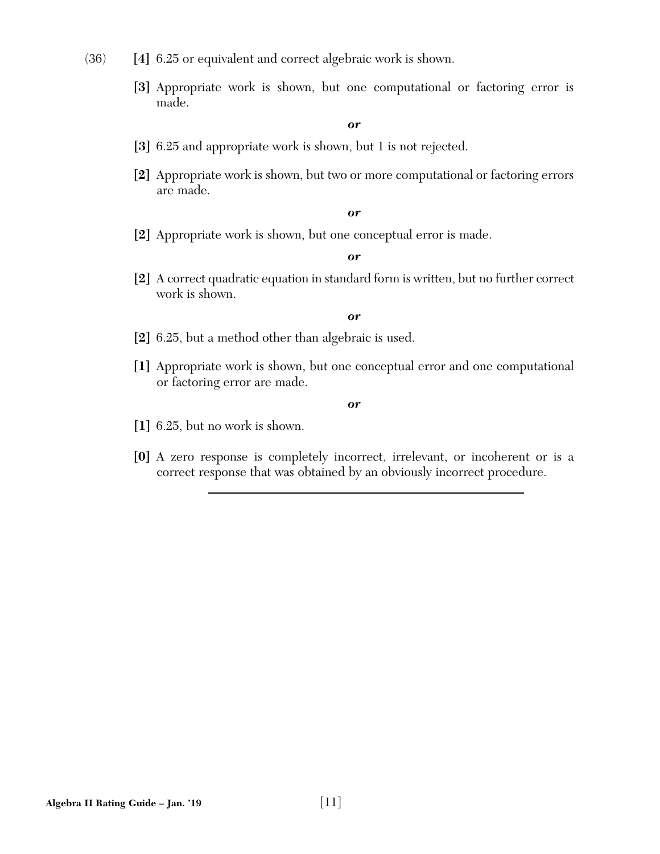- (36) **[4]** 6.25 or equivalent and correct algebraic work is shown.
	- **[3]** Appropriate work is shown, but one computational or factoring error is made.

- **[3]** 6.25 and appropriate work is shown, but 1 is not rejected.
- **[2]** Appropriate work is shown, but two or more computational or factoring errors are made.

#### *or*

**[2]** Appropriate work is shown, but one conceptual error is made.

#### *or*

**[2]** A correct quadratic equation in standard form is written, but no further correct work is shown.

#### *or*

- **[2]** 6.25, but a method other than algebraic is used.
- **[1]** Appropriate work is shown, but one conceptual error and one computational or factoring error are made.

- **[1]** 6.25, but no work is shown.
- **[0]** A zero response is completely incorrect, irrelevant, or incoherent or is a correct response that was obtained by an obviously incorrect procedure.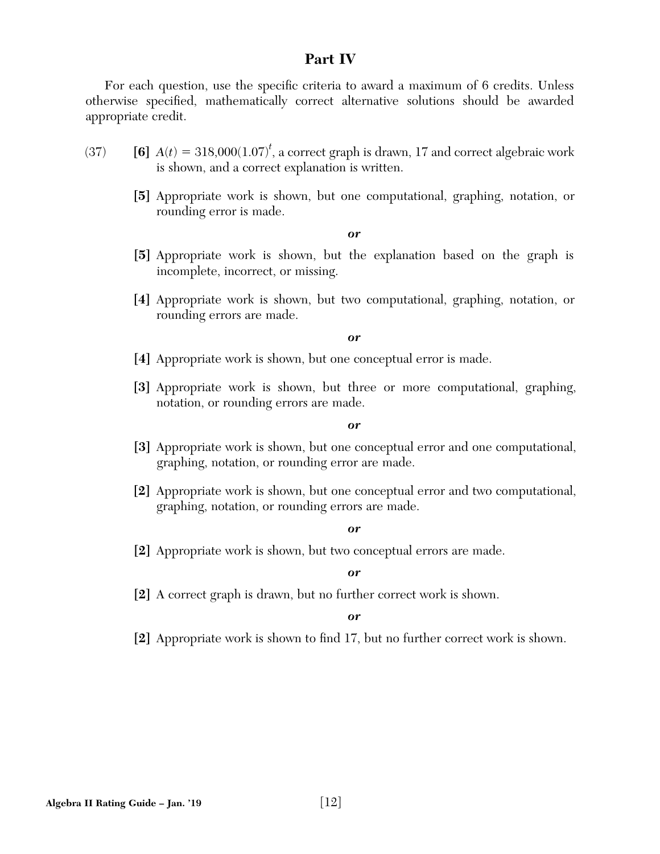# **Part IV**

For each question, use the specific criteria to award a maximum of 6 credits. Unless otherwise specified, mathematically correct alternative solutions should be awarded appropriate credit.

- (37) **[6]**  $A(t) = 318,000(1.07)^t$ , a correct graph is drawn, 17 and correct algebraic work is shown, and a correct explanation is written.
	- **[5]** Appropriate work is shown, but one computational, graphing, notation, or rounding error is made.

*or*

- **[5]** Appropriate work is shown, but the explanation based on the graph is incomplete, incorrect, or missing.
- **[4]** Appropriate work is shown, but two computational, graphing, notation, or rounding errors are made.

*or*

- **[4]** Appropriate work is shown, but one conceptual error is made.
- **[3]** Appropriate work is shown, but three or more computational, graphing, notation, or rounding errors are made.

#### *or*

- **[3]** Appropriate work is shown, but one conceptual error and one computational, graphing, notation, or rounding error are made.
- **[2]** Appropriate work is shown, but one conceptual error and two computational, graphing, notation, or rounding errors are made.

#### *or*

**[2]** Appropriate work is shown, but two conceptual errors are made.

#### *or*

**[2]** A correct graph is drawn, but no further correct work is shown.

#### *or*

[2] Appropriate work is shown to find 17, but no further correct work is shown.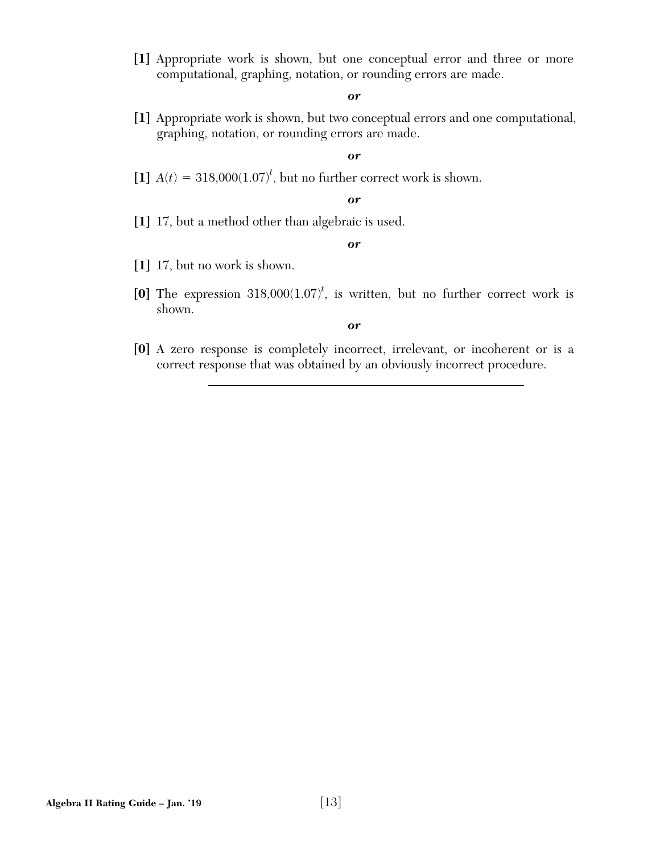**[1]** Appropriate work is shown, but one conceptual error and three or more computational, graphing, notation, or rounding errors are made.

*or*

**[1]** Appropriate work is shown, but two conceptual errors and one computational, graphing, notation, or rounding errors are made.

#### *or*

[1]  $A(t) = 318,000(1.07)^t$ , but no further correct work is shown.

#### *or*

**[1]** 17, but a method other than algebraic is used.

#### *or*

- **[1]** 17, but no work is shown.
- [0] The expression  $318,000(1.07)^t$ , is written, but no further correct work is shown.

*or*

**[0]** A zero response is completely incorrect, irrelevant, or incoherent or is a correct response that was obtained by an obviously incorrect procedure.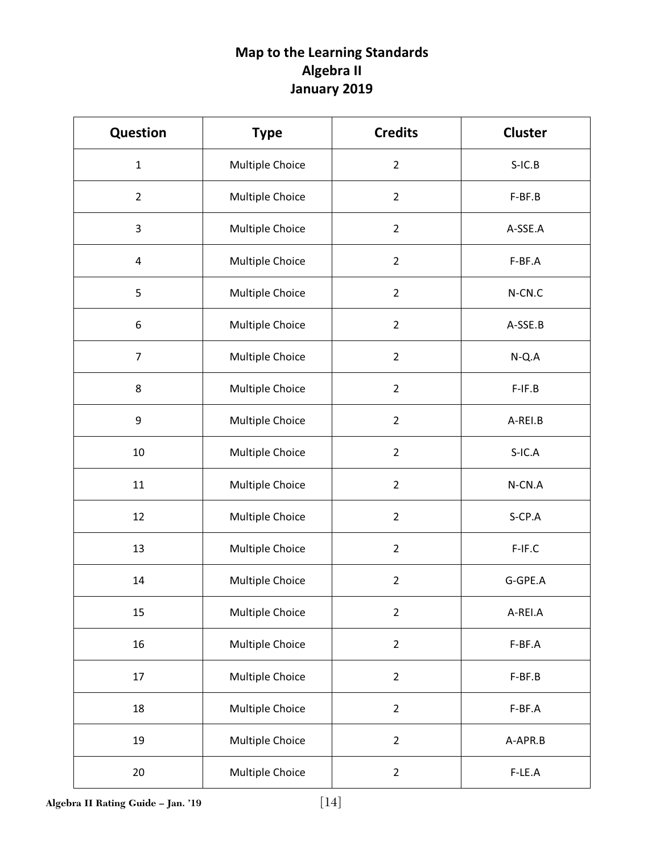# **Map to the Learning Standards** Algebra II January 2019

| <b>Question</b> | <b>Type</b>     | <b>Credits</b> | <b>Cluster</b> |
|-----------------|-----------------|----------------|----------------|
| $\mathbf{1}$    | Multiple Choice | $\overline{2}$ | $S-IC.B$       |
| $\overline{2}$  | Multiple Choice | $\overline{2}$ | F-BF.B         |
| 3               | Multiple Choice | $\overline{2}$ | A-SSE.A        |
| $\overline{4}$  | Multiple Choice | $\overline{2}$ | F-BF.A         |
| 5               | Multiple Choice | $\overline{2}$ | N-CN.C         |
| 6               | Multiple Choice | $\overline{2}$ | A-SSE.B        |
| $\overline{7}$  | Multiple Choice | $\overline{2}$ | $N-Q.A$        |
| 8               | Multiple Choice | $\overline{2}$ | $F-IF.B$       |
| 9               | Multiple Choice | $\overline{2}$ | A-REI.B        |
| 10              | Multiple Choice | $\overline{2}$ | $S-IC.A$       |
| 11              | Multiple Choice | $\overline{2}$ | N-CN.A         |
| 12              | Multiple Choice | $\overline{2}$ | S-CP.A         |
| 13              | Multiple Choice | $\overline{2}$ | F-IF.C         |
| 14              | Multiple Choice | $\overline{2}$ | G-GPE.A        |
| 15              | Multiple Choice | $\overline{2}$ | A-REI.A        |
| 16              | Multiple Choice | $\overline{2}$ | F-BF.A         |
| 17              | Multiple Choice | $\overline{2}$ | F-BF.B         |
| 18              | Multiple Choice | $\overline{2}$ | F-BF.A         |
| 19              | Multiple Choice | $\overline{2}$ | A-APR.B        |
| 20              | Multiple Choice | $\overline{2}$ | F-LE.A         |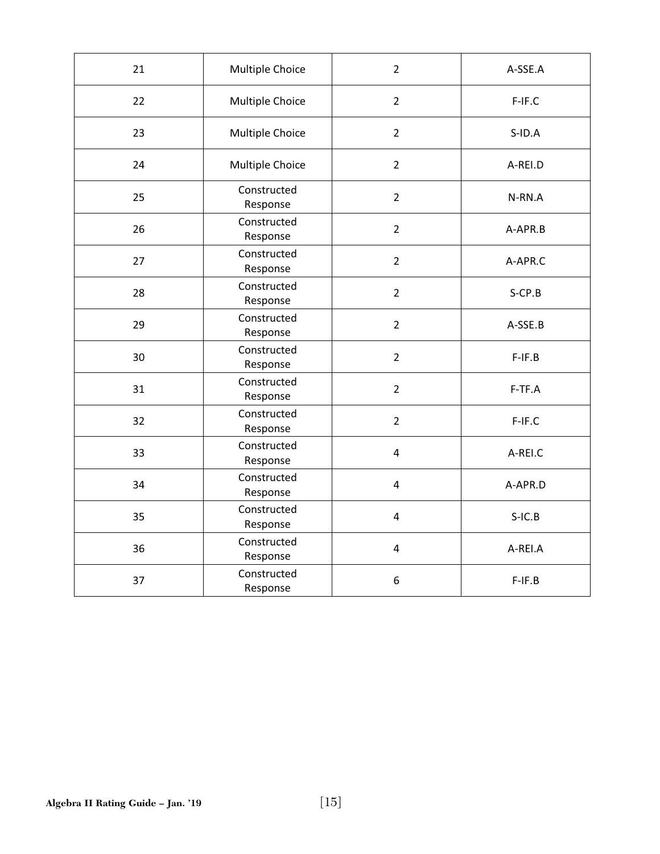| 21 | Multiple Choice         | $\overline{2}$          | A-SSE.A   |
|----|-------------------------|-------------------------|-----------|
| 22 | Multiple Choice         | $\overline{2}$          | $F-IF.C$  |
| 23 | Multiple Choice         | $\overline{2}$          | $S$ -ID.A |
| 24 | Multiple Choice         | $\overline{2}$          | A-REI.D   |
| 25 | Constructed<br>Response | $\overline{2}$          | N-RN.A    |
| 26 | Constructed<br>Response | $\overline{2}$          | A-APR.B   |
| 27 | Constructed<br>Response | $\overline{2}$          | A-APR.C   |
| 28 | Constructed<br>Response | $\overline{2}$          | $S$ -CP.B |
| 29 | Constructed<br>Response | $\overline{2}$          | A-SSE.B   |
| 30 | Constructed<br>Response | $\overline{2}$          | $F-IF.B$  |
| 31 | Constructed<br>Response | $\overline{2}$          | F-TF.A    |
| 32 | Constructed<br>Response | $\overline{2}$          | F-IF.C    |
| 33 | Constructed<br>Response | $\overline{\mathbf{4}}$ | A-REI.C   |
| 34 | Constructed<br>Response | $\overline{4}$          | A-APR.D   |
| 35 | Constructed<br>Response | $\overline{4}$          | $S-IC.B$  |
| 36 | Constructed<br>Response | $\overline{4}$          | A-REI.A   |
| 37 | Constructed<br>Response | 6                       | $F-IF.B$  |